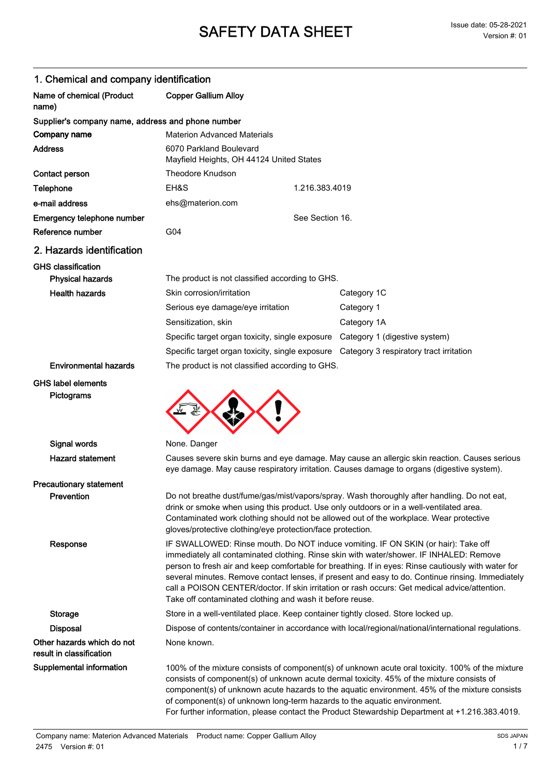| 1. Chemical and company identification                 |                                                                                                                                                                                                                                                                                                                                                                                                                                                                                                                                                      |                                                                                                                                                                                                                                                                                                                                                                                                                                                                              |  |
|--------------------------------------------------------|------------------------------------------------------------------------------------------------------------------------------------------------------------------------------------------------------------------------------------------------------------------------------------------------------------------------------------------------------------------------------------------------------------------------------------------------------------------------------------------------------------------------------------------------------|------------------------------------------------------------------------------------------------------------------------------------------------------------------------------------------------------------------------------------------------------------------------------------------------------------------------------------------------------------------------------------------------------------------------------------------------------------------------------|--|
| Name of chemical (Product<br>name)                     | <b>Copper Gallium Alloy</b>                                                                                                                                                                                                                                                                                                                                                                                                                                                                                                                          |                                                                                                                                                                                                                                                                                                                                                                                                                                                                              |  |
| Supplier's company name, address and phone number      |                                                                                                                                                                                                                                                                                                                                                                                                                                                                                                                                                      |                                                                                                                                                                                                                                                                                                                                                                                                                                                                              |  |
| Company name                                           | <b>Materion Advanced Materials</b>                                                                                                                                                                                                                                                                                                                                                                                                                                                                                                                   |                                                                                                                                                                                                                                                                                                                                                                                                                                                                              |  |
| <b>Address</b>                                         | 6070 Parkland Boulevard<br>Mayfield Heights, OH 44124 United States                                                                                                                                                                                                                                                                                                                                                                                                                                                                                  |                                                                                                                                                                                                                                                                                                                                                                                                                                                                              |  |
| Contact person                                         | Theodore Knudson                                                                                                                                                                                                                                                                                                                                                                                                                                                                                                                                     |                                                                                                                                                                                                                                                                                                                                                                                                                                                                              |  |
| Telephone                                              | EH&S                                                                                                                                                                                                                                                                                                                                                                                                                                                                                                                                                 | 1.216.383.4019                                                                                                                                                                                                                                                                                                                                                                                                                                                               |  |
| e-mail address                                         | ehs@materion.com                                                                                                                                                                                                                                                                                                                                                                                                                                                                                                                                     |                                                                                                                                                                                                                                                                                                                                                                                                                                                                              |  |
| Emergency telephone number                             |                                                                                                                                                                                                                                                                                                                                                                                                                                                                                                                                                      | See Section 16.                                                                                                                                                                                                                                                                                                                                                                                                                                                              |  |
| Reference number                                       | G04                                                                                                                                                                                                                                                                                                                                                                                                                                                                                                                                                  |                                                                                                                                                                                                                                                                                                                                                                                                                                                                              |  |
| 2. Hazards identification                              |                                                                                                                                                                                                                                                                                                                                                                                                                                                                                                                                                      |                                                                                                                                                                                                                                                                                                                                                                                                                                                                              |  |
| <b>GHS classification</b>                              |                                                                                                                                                                                                                                                                                                                                                                                                                                                                                                                                                      |                                                                                                                                                                                                                                                                                                                                                                                                                                                                              |  |
| <b>Physical hazards</b>                                | The product is not classified according to GHS.                                                                                                                                                                                                                                                                                                                                                                                                                                                                                                      |                                                                                                                                                                                                                                                                                                                                                                                                                                                                              |  |
| <b>Health hazards</b>                                  | Skin corrosion/irritation                                                                                                                                                                                                                                                                                                                                                                                                                                                                                                                            | Category 1C                                                                                                                                                                                                                                                                                                                                                                                                                                                                  |  |
|                                                        | Serious eye damage/eye irritation                                                                                                                                                                                                                                                                                                                                                                                                                                                                                                                    | Category 1                                                                                                                                                                                                                                                                                                                                                                                                                                                                   |  |
|                                                        | Sensitization, skin                                                                                                                                                                                                                                                                                                                                                                                                                                                                                                                                  | Category 1A                                                                                                                                                                                                                                                                                                                                                                                                                                                                  |  |
|                                                        |                                                                                                                                                                                                                                                                                                                                                                                                                                                                                                                                                      | Specific target organ toxicity, single exposure Category 1 (digestive system)                                                                                                                                                                                                                                                                                                                                                                                                |  |
|                                                        |                                                                                                                                                                                                                                                                                                                                                                                                                                                                                                                                                      | Specific target organ toxicity, single exposure  Category 3 respiratory tract irritation                                                                                                                                                                                                                                                                                                                                                                                     |  |
| <b>Environmental hazards</b>                           | The product is not classified according to GHS.                                                                                                                                                                                                                                                                                                                                                                                                                                                                                                      |                                                                                                                                                                                                                                                                                                                                                                                                                                                                              |  |
| Pictograms                                             |                                                                                                                                                                                                                                                                                                                                                                                                                                                                                                                                                      |                                                                                                                                                                                                                                                                                                                                                                                                                                                                              |  |
| Signal words                                           | None. Danger                                                                                                                                                                                                                                                                                                                                                                                                                                                                                                                                         |                                                                                                                                                                                                                                                                                                                                                                                                                                                                              |  |
| <b>Hazard statement</b>                                | Causes severe skin burns and eye damage. May cause an allergic skin reaction. Causes serious<br>eye damage. May cause respiratory irritation. Causes damage to organs (digestive system).                                                                                                                                                                                                                                                                                                                                                            |                                                                                                                                                                                                                                                                                                                                                                                                                                                                              |  |
| <b>Precautionary statement</b>                         |                                                                                                                                                                                                                                                                                                                                                                                                                                                                                                                                                      |                                                                                                                                                                                                                                                                                                                                                                                                                                                                              |  |
| Prevention                                             | Do not breathe dust/fume/gas/mist/vapors/spray. Wash thoroughly after handling. Do not eat,<br>drink or smoke when using this product. Use only outdoors or in a well-ventilated area.<br>Contaminated work clothing should not be allowed out of the workplace. Wear protective<br>gloves/protective clothing/eye protection/face protection.                                                                                                                                                                                                       |                                                                                                                                                                                                                                                                                                                                                                                                                                                                              |  |
| Response                                               | IF SWALLOWED: Rinse mouth. Do NOT induce vomiting. IF ON SKIN (or hair): Take off<br>immediately all contaminated clothing. Rinse skin with water/shower. IF INHALED: Remove<br>person to fresh air and keep comfortable for breathing. If in eyes: Rinse cautiously with water for<br>several minutes. Remove contact lenses, if present and easy to do. Continue rinsing. Immediately<br>call a POISON CENTER/doctor. If skin irritation or rash occurs: Get medical advice/attention.<br>Take off contaminated clothing and wash it before reuse. |                                                                                                                                                                                                                                                                                                                                                                                                                                                                              |  |
| Storage                                                | Store in a well-ventilated place. Keep container tightly closed. Store locked up.                                                                                                                                                                                                                                                                                                                                                                                                                                                                    |                                                                                                                                                                                                                                                                                                                                                                                                                                                                              |  |
| <b>Disposal</b>                                        | Dispose of contents/container in accordance with local/regional/national/international regulations.                                                                                                                                                                                                                                                                                                                                                                                                                                                  |                                                                                                                                                                                                                                                                                                                                                                                                                                                                              |  |
| Other hazards which do not<br>result in classification | None known.                                                                                                                                                                                                                                                                                                                                                                                                                                                                                                                                          |                                                                                                                                                                                                                                                                                                                                                                                                                                                                              |  |
| <b>Supplemental information</b>                        |                                                                                                                                                                                                                                                                                                                                                                                                                                                                                                                                                      | 100% of the mixture consists of component(s) of unknown acute oral toxicity. 100% of the mixture<br>consists of component(s) of unknown acute dermal toxicity. 45% of the mixture consists of<br>component(s) of unknown acute hazards to the aquatic environment. 45% of the mixture consists<br>of component(s) of unknown long-term hazards to the aquatic environment.<br>For further information, please contact the Product Stewardship Department at +1.216.383.4019. |  |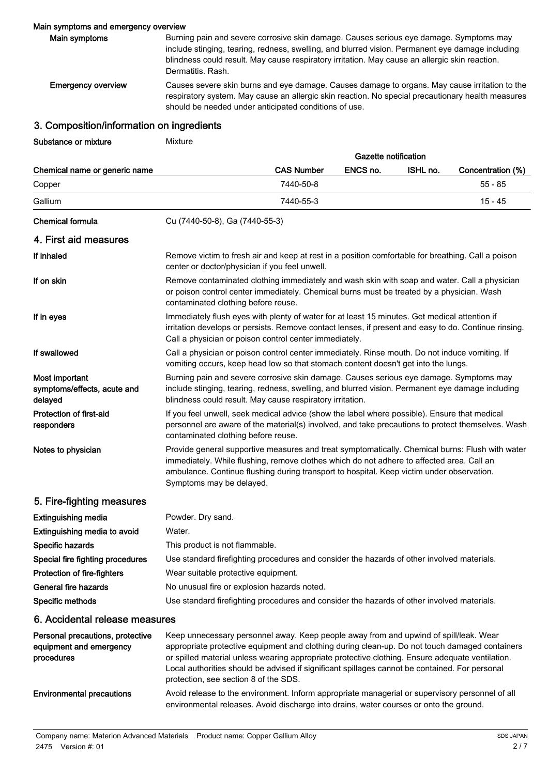## Main symptoms and emergency overview

| Main symptoms             | Burning pain and severe corrosive skin damage. Causes serious eve damage. Symptoms may<br>include stinging, tearing, redness, swelling, and blurred vision. Permanent eye damage including<br>blindness could result. May cause respiratory irritation. May cause an allergic skin reaction.<br>Dermatitis, Rash. |
|---------------------------|-------------------------------------------------------------------------------------------------------------------------------------------------------------------------------------------------------------------------------------------------------------------------------------------------------------------|
| <b>Emergency overview</b> | Causes severe skin burns and eye damage. Causes damage to organs. May cause irritation to the<br>respiratory system. May cause an allergic skin reaction. No special precautionary health measures<br>should be needed under anticipated conditions of use.                                                       |

## 3. Composition/information on ingredients

Substance or mixture Mixture

|                                                          | Gazette notification                                                                                                                                                                                                                                                                                                  |                   |          |          |                   |
|----------------------------------------------------------|-----------------------------------------------------------------------------------------------------------------------------------------------------------------------------------------------------------------------------------------------------------------------------------------------------------------------|-------------------|----------|----------|-------------------|
| Chemical name or generic name                            |                                                                                                                                                                                                                                                                                                                       | <b>CAS Number</b> | ENCS no. | ISHL no. | Concentration (%) |
| Copper                                                   |                                                                                                                                                                                                                                                                                                                       | 7440-50-8         |          |          | 55 - 85           |
| Gallium                                                  |                                                                                                                                                                                                                                                                                                                       | 7440-55-3         |          |          | 15 - 45           |
| <b>Chemical formula</b>                                  | Cu (7440-50-8), Ga (7440-55-3)                                                                                                                                                                                                                                                                                        |                   |          |          |                   |
| 4. First aid measures                                    |                                                                                                                                                                                                                                                                                                                       |                   |          |          |                   |
| If inhaled                                               | Remove victim to fresh air and keep at rest in a position comfortable for breathing. Call a poison<br>center or doctor/physician if you feel unwell.                                                                                                                                                                  |                   |          |          |                   |
| If on skin                                               | Remove contaminated clothing immediately and wash skin with soap and water. Call a physician<br>or poison control center immediately. Chemical burns must be treated by a physician. Wash<br>contaminated clothing before reuse.                                                                                      |                   |          |          |                   |
| If in eyes                                               | Immediately flush eyes with plenty of water for at least 15 minutes. Get medical attention if<br>irritation develops or persists. Remove contact lenses, if present and easy to do. Continue rinsing.<br>Call a physician or poison control center immediately.                                                       |                   |          |          |                   |
| If swallowed                                             | Call a physician or poison control center immediately. Rinse mouth. Do not induce vomiting. If<br>vomiting occurs, keep head low so that stomach content doesn't get into the lungs.                                                                                                                                  |                   |          |          |                   |
| Most important<br>symptoms/effects, acute and<br>delayed | Burning pain and severe corrosive skin damage. Causes serious eye damage. Symptoms may<br>include stinging, tearing, redness, swelling, and blurred vision. Permanent eye damage including<br>blindness could result. May cause respiratory irritation.                                                               |                   |          |          |                   |
| Protection of first-aid<br>responders                    | If you feel unwell, seek medical advice (show the label where possible). Ensure that medical<br>personnel are aware of the material(s) involved, and take precautions to protect themselves. Wash<br>contaminated clothing before reuse.                                                                              |                   |          |          |                   |
| Notes to physician                                       | Provide general supportive measures and treat symptomatically. Chemical burns: Flush with water<br>immediately. While flushing, remove clothes which do not adhere to affected area. Call an<br>ambulance. Continue flushing during transport to hospital. Keep victim under observation.<br>Symptoms may be delayed. |                   |          |          |                   |
| 5. Fire-fighting measures                                |                                                                                                                                                                                                                                                                                                                       |                   |          |          |                   |
| <b>Extinguishing media</b>                               | Powder. Dry sand.                                                                                                                                                                                                                                                                                                     |                   |          |          |                   |
| Extinguishing media to avoid                             | Water.                                                                                                                                                                                                                                                                                                                |                   |          |          |                   |
| Specific hazards                                         | This product is not flammable.                                                                                                                                                                                                                                                                                        |                   |          |          |                   |
| Special fire fighting procedures                         | Use standard firefighting procedures and consider the hazards of other involved materials.                                                                                                                                                                                                                            |                   |          |          |                   |
| .                                                        | the contract of the contract of the contract of the contract of the contract of the contract of the contract of                                                                                                                                                                                                       |                   |          |          |                   |

Protection of fire-fighters Wear suitable protective equipment.

General fire hazards No unusual fire or explosion hazards noted.

Specific methods Use standard firefighting procedures and consider the hazards of other involved materials.

## 6. Accidental release measures

| Personal precautions, protective<br>equipment and emergency<br>procedures | Keep unnecessary personnel away. Keep people away from and upwind of spill/leak. Wear<br>appropriate protective equipment and clothing during clean-up. Do not touch damaged containers<br>or spilled material unless wearing appropriate protective clothing. Ensure adequate ventilation.<br>Local authorities should be advised if significant spillages cannot be contained. For personal<br>protection, see section 8 of the SDS. |
|---------------------------------------------------------------------------|----------------------------------------------------------------------------------------------------------------------------------------------------------------------------------------------------------------------------------------------------------------------------------------------------------------------------------------------------------------------------------------------------------------------------------------|
| <b>Environmental precautions</b>                                          | Avoid release to the environment. Inform appropriate managerial or supervisory personnel of all<br>environmental releases. Avoid discharge into drains, water courses or onto the ground.                                                                                                                                                                                                                                              |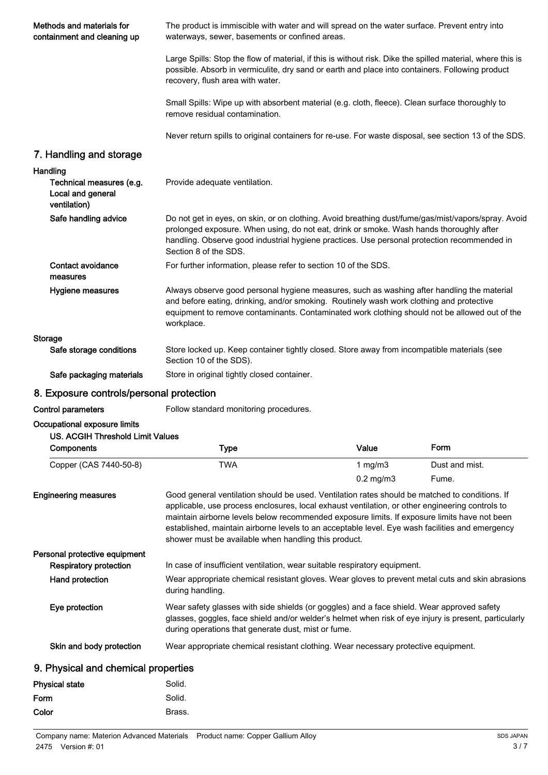| Methods and materials for<br>containment and cleaning up      | The product is immiscible with water and will spread on the water surface. Prevent entry into<br>waterways, sewer, basements or confined areas.                                                                                                                                                                                                                                                                                                              |                |                |  |
|---------------------------------------------------------------|--------------------------------------------------------------------------------------------------------------------------------------------------------------------------------------------------------------------------------------------------------------------------------------------------------------------------------------------------------------------------------------------------------------------------------------------------------------|----------------|----------------|--|
|                                                               | Large Spills: Stop the flow of material, if this is without risk. Dike the spilled material, where this is<br>possible. Absorb in vermiculite, dry sand or earth and place into containers. Following product<br>recovery, flush area with water.                                                                                                                                                                                                            |                |                |  |
|                                                               | Small Spills: Wipe up with absorbent material (e.g. cloth, fleece). Clean surface thoroughly to<br>remove residual contamination.                                                                                                                                                                                                                                                                                                                            |                |                |  |
|                                                               | Never return spills to original containers for re-use. For waste disposal, see section 13 of the SDS.                                                                                                                                                                                                                                                                                                                                                        |                |                |  |
| 7. Handling and storage                                       |                                                                                                                                                                                                                                                                                                                                                                                                                                                              |                |                |  |
| Handling                                                      |                                                                                                                                                                                                                                                                                                                                                                                                                                                              |                |                |  |
| Technical measures (e.g.<br>Local and general<br>ventilation) | Provide adequate ventilation.                                                                                                                                                                                                                                                                                                                                                                                                                                |                |                |  |
| Safe handling advice                                          | Do not get in eyes, on skin, or on clothing. Avoid breathing dust/fume/gas/mist/vapors/spray. Avoid<br>prolonged exposure. When using, do not eat, drink or smoke. Wash hands thoroughly after<br>handling. Observe good industrial hygiene practices. Use personal protection recommended in<br>Section 8 of the SDS.                                                                                                                                       |                |                |  |
| Contact avoidance<br>measures                                 | For further information, please refer to section 10 of the SDS.                                                                                                                                                                                                                                                                                                                                                                                              |                |                |  |
| Hygiene measures                                              | Always observe good personal hygiene measures, such as washing after handling the material<br>and before eating, drinking, and/or smoking. Routinely wash work clothing and protective<br>equipment to remove contaminants. Contaminated work clothing should not be allowed out of the<br>workplace.                                                                                                                                                        |                |                |  |
| <b>Storage</b>                                                |                                                                                                                                                                                                                                                                                                                                                                                                                                                              |                |                |  |
| Safe storage conditions                                       | Store locked up. Keep container tightly closed. Store away from incompatible materials (see<br>Section 10 of the SDS).                                                                                                                                                                                                                                                                                                                                       |                |                |  |
| Safe packaging materials                                      | Store in original tightly closed container.                                                                                                                                                                                                                                                                                                                                                                                                                  |                |                |  |
| 8. Exposure controls/personal protection                      |                                                                                                                                                                                                                                                                                                                                                                                                                                                              |                |                |  |
| <b>Control parameters</b>                                     | Follow standard monitoring procedures.                                                                                                                                                                                                                                                                                                                                                                                                                       |                |                |  |
| Occupational exposure limits                                  |                                                                                                                                                                                                                                                                                                                                                                                                                                                              |                |                |  |
| <b>US. ACGIH Threshold Limit Values</b>                       |                                                                                                                                                                                                                                                                                                                                                                                                                                                              |                |                |  |
| Components                                                    | <b>Type</b>                                                                                                                                                                                                                                                                                                                                                                                                                                                  | Value          | Form           |  |
| Copper (CAS 7440-50-8)                                        | <b>TWA</b>                                                                                                                                                                                                                                                                                                                                                                                                                                                   | 1 $mg/m3$      | Dust and mist. |  |
|                                                               |                                                                                                                                                                                                                                                                                                                                                                                                                                                              | $0.2$ mg/m $3$ | Fume.          |  |
| <b>Engineering measures</b>                                   | Good general ventilation should be used. Ventilation rates should be matched to conditions. If<br>applicable, use process enclosures, local exhaust ventilation, or other engineering controls to<br>maintain airborne levels below recommended exposure limits. If exposure limits have not been<br>established, maintain airborne levels to an acceptable level. Eye wash facilities and emergency<br>shower must be available when handling this product. |                |                |  |
| Personal protective equipment                                 |                                                                                                                                                                                                                                                                                                                                                                                                                                                              |                |                |  |
| <b>Respiratory protection</b>                                 | In case of insufficient ventilation, wear suitable respiratory equipment.                                                                                                                                                                                                                                                                                                                                                                                    |                |                |  |
| Hand protection                                               | Wear appropriate chemical resistant gloves. Wear gloves to prevent metal cuts and skin abrasions<br>during handling.                                                                                                                                                                                                                                                                                                                                         |                |                |  |
| Eye protection                                                | Wear safety glasses with side shields (or goggles) and a face shield. Wear approved safety<br>glasses, goggles, face shield and/or welder's helmet when risk of eye injury is present, particularly<br>during operations that generate dust, mist or fume.                                                                                                                                                                                                   |                |                |  |
| Skin and body protection                                      | Wear appropriate chemical resistant clothing. Wear necessary protective equipment.                                                                                                                                                                                                                                                                                                                                                                           |                |                |  |
| 9. Physical and chemical properties                           |                                                                                                                                                                                                                                                                                                                                                                                                                                                              |                |                |  |
| <b>Physical state</b>                                         | Solid.                                                                                                                                                                                                                                                                                                                                                                                                                                                       |                |                |  |
| Form                                                          | Solid.                                                                                                                                                                                                                                                                                                                                                                                                                                                       |                |                |  |
|                                                               |                                                                                                                                                                                                                                                                                                                                                                                                                                                              |                |                |  |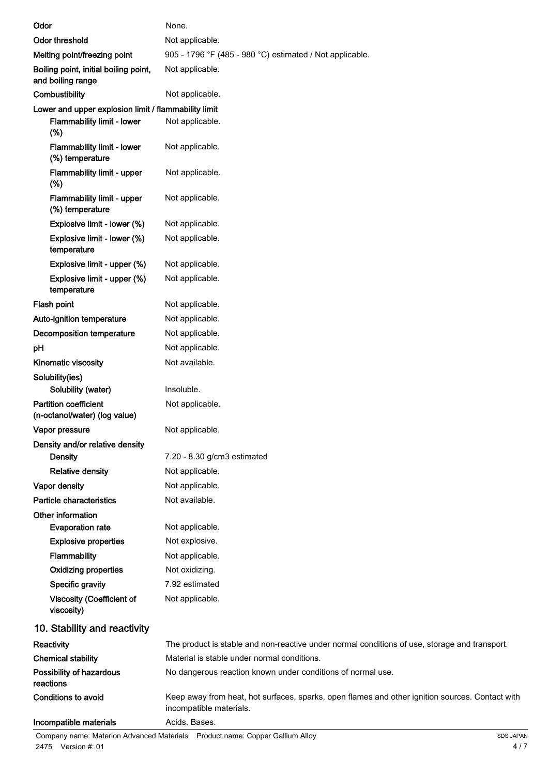| Odor                                                                                      | None.                                                                                                                      |
|-------------------------------------------------------------------------------------------|----------------------------------------------------------------------------------------------------------------------------|
| <b>Odor threshold</b>                                                                     | Not applicable.                                                                                                            |
| Melting point/freezing point                                                              | 905 - 1796 °F (485 - 980 °C) estimated / Not applicable.                                                                   |
| Boiling point, initial boiling point,<br>and boiling range                                | Not applicable.                                                                                                            |
| Combustibility                                                                            | Not applicable.                                                                                                            |
| Lower and upper explosion limit / flammability limit<br>Flammability limit - lower<br>(%) | Not applicable.                                                                                                            |
| <b>Flammability limit - lower</b><br>(%) temperature                                      | Not applicable.                                                                                                            |
| Flammability limit - upper<br>(%)                                                         | Not applicable.                                                                                                            |
| Flammability limit - upper<br>(%) temperature                                             | Not applicable.                                                                                                            |
| Explosive limit - lower (%)                                                               | Not applicable.                                                                                                            |
| Explosive limit - lower (%)<br>temperature                                                | Not applicable.                                                                                                            |
| Explosive limit - upper (%)                                                               | Not applicable.                                                                                                            |
| Explosive limit - upper (%)<br>temperature                                                | Not applicable.                                                                                                            |
| Flash point                                                                               | Not applicable.                                                                                                            |
| Auto-ignition temperature                                                                 | Not applicable.                                                                                                            |
| Decomposition temperature                                                                 | Not applicable.                                                                                                            |
| pH                                                                                        | Not applicable.                                                                                                            |
| Kinematic viscosity                                                                       | Not available.                                                                                                             |
| Solubility(ies)                                                                           |                                                                                                                            |
| Solubility (water)                                                                        | Insoluble.                                                                                                                 |
| <b>Partition coefficient</b><br>(n-octanol/water) (log value)                             | Not applicable.                                                                                                            |
| Vapor pressure                                                                            | Not applicable.                                                                                                            |
| Density and/or relative density<br><b>Density</b>                                         | 7.20 - 8.30 g/cm3 estimated                                                                                                |
| <b>Relative density</b>                                                                   | Not applicable.                                                                                                            |
| Vapor density                                                                             | Not applicable.                                                                                                            |
| Particle characteristics                                                                  | Not available.                                                                                                             |
| Other information<br><b>Evaporation rate</b>                                              | Not applicable.                                                                                                            |
| <b>Explosive properties</b>                                                               | Not explosive.                                                                                                             |
| <b>Flammability</b>                                                                       | Not applicable.                                                                                                            |
| <b>Oxidizing properties</b>                                                               | Not oxidizing.                                                                                                             |
| Specific gravity                                                                          | 7.92 estimated                                                                                                             |
| <b>Viscosity (Coefficient of</b><br>viscosity)                                            | Not applicable.                                                                                                            |
| 10. Stability and reactivity                                                              |                                                                                                                            |
| Reactivity                                                                                | The product is stable and non-reactive under normal conditions of use, storage and transport.                              |
| <b>Chemical stability</b>                                                                 | Material is stable under normal conditions.                                                                                |
| Possibility of hazardous<br>reactions                                                     | No dangerous reaction known under conditions of normal use.                                                                |
| <b>Conditions to avoid</b>                                                                | Keep away from heat, hot surfaces, sparks, open flames and other ignition sources. Contact with<br>incompatible materials. |
| Incompatible materials                                                                    | Acids. Bases.                                                                                                              |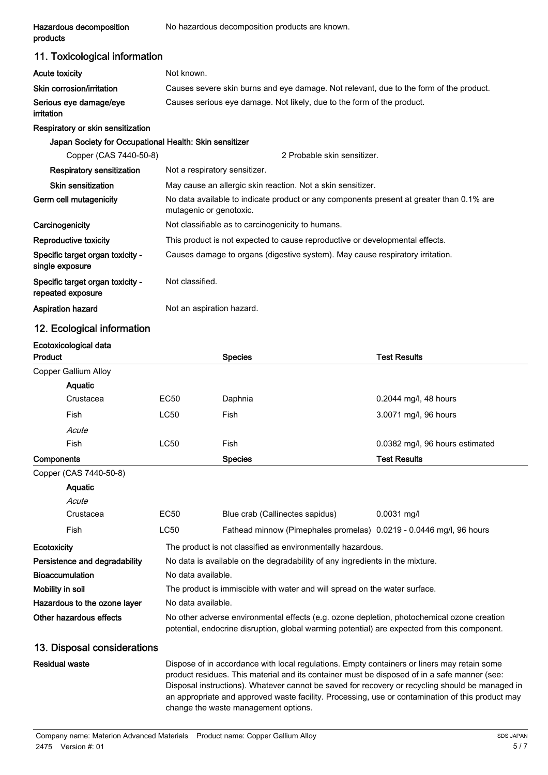| Hazardous decomposition<br>products                    | No hazardous decomposition products are known.                                                                                                                                                                                                                                                                                                                                                     |                                                                                          |                                 |  |
|--------------------------------------------------------|----------------------------------------------------------------------------------------------------------------------------------------------------------------------------------------------------------------------------------------------------------------------------------------------------------------------------------------------------------------------------------------------------|------------------------------------------------------------------------------------------|---------------------------------|--|
| 11. Toxicological information                          |                                                                                                                                                                                                                                                                                                                                                                                                    |                                                                                          |                                 |  |
| <b>Acute toxicity</b>                                  | Not known.                                                                                                                                                                                                                                                                                                                                                                                         |                                                                                          |                                 |  |
| Skin corrosion/irritation                              |                                                                                                                                                                                                                                                                                                                                                                                                    | Causes severe skin burns and eye damage. Not relevant, due to the form of the product.   |                                 |  |
| Serious eye damage/eye<br>irritation                   |                                                                                                                                                                                                                                                                                                                                                                                                    | Causes serious eye damage. Not likely, due to the form of the product.                   |                                 |  |
| Respiratory or skin sensitization                      |                                                                                                                                                                                                                                                                                                                                                                                                    |                                                                                          |                                 |  |
| Japan Society for Occupational Health: Skin sensitizer |                                                                                                                                                                                                                                                                                                                                                                                                    |                                                                                          |                                 |  |
| Copper (CAS 7440-50-8)                                 |                                                                                                                                                                                                                                                                                                                                                                                                    | 2 Probable skin sensitizer.                                                              |                                 |  |
| <b>Respiratory sensitization</b>                       | Not a respiratory sensitizer.                                                                                                                                                                                                                                                                                                                                                                      |                                                                                          |                                 |  |
| <b>Skin sensitization</b>                              |                                                                                                                                                                                                                                                                                                                                                                                                    | May cause an allergic skin reaction. Not a skin sensitizer.                              |                                 |  |
| Germ cell mutagenicity                                 | mutagenic or genotoxic.                                                                                                                                                                                                                                                                                                                                                                            | No data available to indicate product or any components present at greater than 0.1% are |                                 |  |
| Carcinogenicity                                        |                                                                                                                                                                                                                                                                                                                                                                                                    | Not classifiable as to carcinogenicity to humans.                                        |                                 |  |
| Reproductive toxicity                                  |                                                                                                                                                                                                                                                                                                                                                                                                    | This product is not expected to cause reproductive or developmental effects.             |                                 |  |
| Specific target organ toxicity -<br>single exposure    |                                                                                                                                                                                                                                                                                                                                                                                                    | Causes damage to organs (digestive system). May cause respiratory irritation.            |                                 |  |
| Specific target organ toxicity -<br>repeated exposure  | Not classified.                                                                                                                                                                                                                                                                                                                                                                                    |                                                                                          |                                 |  |
| <b>Aspiration hazard</b>                               | Not an aspiration hazard.                                                                                                                                                                                                                                                                                                                                                                          |                                                                                          |                                 |  |
| 12. Ecological information                             |                                                                                                                                                                                                                                                                                                                                                                                                    |                                                                                          |                                 |  |
| Ecotoxicological data<br>Product                       |                                                                                                                                                                                                                                                                                                                                                                                                    | <b>Species</b>                                                                           | <b>Test Results</b>             |  |
| Copper Gallium Alloy                                   |                                                                                                                                                                                                                                                                                                                                                                                                    |                                                                                          |                                 |  |
| Aquatic                                                |                                                                                                                                                                                                                                                                                                                                                                                                    |                                                                                          |                                 |  |
| Crustacea                                              | <b>EC50</b>                                                                                                                                                                                                                                                                                                                                                                                        | Daphnia                                                                                  | 0.2044 mg/l, 48 hours           |  |
| Fish                                                   | <b>LC50</b>                                                                                                                                                                                                                                                                                                                                                                                        | Fish                                                                                     | 3.0071 mg/l, 96 hours           |  |
| Acute                                                  |                                                                                                                                                                                                                                                                                                                                                                                                    |                                                                                          |                                 |  |
| Fish                                                   | <b>LC50</b>                                                                                                                                                                                                                                                                                                                                                                                        | Fish                                                                                     | 0.0382 mg/l, 96 hours estimated |  |
| Components                                             |                                                                                                                                                                                                                                                                                                                                                                                                    | <b>Species</b>                                                                           | <b>Test Results</b>             |  |
| Copper (CAS 7440-50-8)                                 |                                                                                                                                                                                                                                                                                                                                                                                                    |                                                                                          |                                 |  |
| Aquatic                                                |                                                                                                                                                                                                                                                                                                                                                                                                    |                                                                                          |                                 |  |
| Acute                                                  |                                                                                                                                                                                                                                                                                                                                                                                                    |                                                                                          |                                 |  |
| Crustacea                                              | <b>EC50</b>                                                                                                                                                                                                                                                                                                                                                                                        | Blue crab (Callinectes sapidus)                                                          | 0.0031 mg/l                     |  |
| Fish                                                   | <b>LC50</b>                                                                                                                                                                                                                                                                                                                                                                                        | Fathead minnow (Pimephales promelas) 0.0219 - 0.0446 mg/l, 96 hours                      |                                 |  |
| Ecotoxicity                                            |                                                                                                                                                                                                                                                                                                                                                                                                    | The product is not classified as environmentally hazardous.                              |                                 |  |
| Persistence and degradability                          | No data is available on the degradability of any ingredients in the mixture.                                                                                                                                                                                                                                                                                                                       |                                                                                          |                                 |  |
| <b>Bioaccumulation</b>                                 | No data available.                                                                                                                                                                                                                                                                                                                                                                                 |                                                                                          |                                 |  |
| Mobility in soil                                       | The product is immiscible with water and will spread on the water surface.                                                                                                                                                                                                                                                                                                                         |                                                                                          |                                 |  |
| Hazardous to the ozone layer                           |                                                                                                                                                                                                                                                                                                                                                                                                    | No data available.                                                                       |                                 |  |
| Other hazardous effects                                | No other adverse environmental effects (e.g. ozone depletion, photochemical ozone creation<br>potential, endocrine disruption, global warming potential) are expected from this component.                                                                                                                                                                                                         |                                                                                          |                                 |  |
| 13. Disposal considerations                            |                                                                                                                                                                                                                                                                                                                                                                                                    |                                                                                          |                                 |  |
| <b>Residual waste</b>                                  | Dispose of in accordance with local regulations. Empty containers or liners may retain some<br>product residues. This material and its container must be disposed of in a safe manner (see:<br>Disposal instructions). Whatever cannot be saved for recovery or recycling should be managed in<br>an appropriate and approved waste facility. Processing, use or contamination of this product may |                                                                                          |                                 |  |

change the waste management options.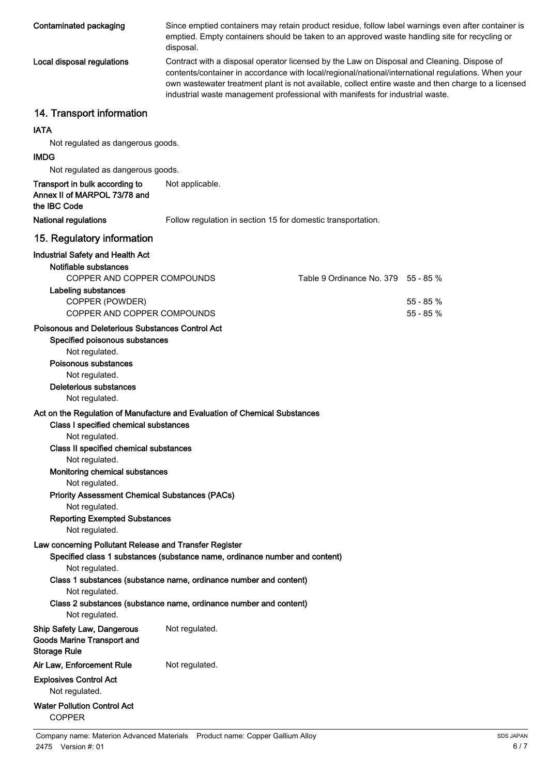| Contaminated packaging                                                                          | Since emptied containers may retain product residue, follow label warnings even after container is<br>emptied. Empty containers should be taken to an approved waste handling site for recycling or<br>disposal.                                                                                                                                                                         |                                     |            |
|-------------------------------------------------------------------------------------------------|------------------------------------------------------------------------------------------------------------------------------------------------------------------------------------------------------------------------------------------------------------------------------------------------------------------------------------------------------------------------------------------|-------------------------------------|------------|
| Local disposal regulations                                                                      | Contract with a disposal operator licensed by the Law on Disposal and Cleaning. Dispose of<br>contents/container in accordance with local/regional/national/international regulations. When your<br>own wastewater treatment plant is not available, collect entire waste and then charge to a licensed<br>industrial waste management professional with manifests for industrial waste. |                                     |            |
| 14. Transport information                                                                       |                                                                                                                                                                                                                                                                                                                                                                                          |                                     |            |
| <b>IATA</b>                                                                                     |                                                                                                                                                                                                                                                                                                                                                                                          |                                     |            |
| Not regulated as dangerous goods.                                                               |                                                                                                                                                                                                                                                                                                                                                                                          |                                     |            |
| <b>IMDG</b>                                                                                     |                                                                                                                                                                                                                                                                                                                                                                                          |                                     |            |
| Not regulated as dangerous goods.                                                               |                                                                                                                                                                                                                                                                                                                                                                                          |                                     |            |
| Transport in bulk according to<br>Annex II of MARPOL 73/78 and<br>the IBC Code                  | Not applicable.                                                                                                                                                                                                                                                                                                                                                                          |                                     |            |
| <b>National regulations</b>                                                                     | Follow regulation in section 15 for domestic transportation.                                                                                                                                                                                                                                                                                                                             |                                     |            |
| 15. Regulatory information                                                                      |                                                                                                                                                                                                                                                                                                                                                                                          |                                     |            |
| <b>Industrial Safety and Health Act</b><br>Notifiable substances<br>COPPER AND COPPER COMPOUNDS |                                                                                                                                                                                                                                                                                                                                                                                          | Table 9 Ordinance No. 379 55 - 85 % |            |
| Labeling substances                                                                             |                                                                                                                                                                                                                                                                                                                                                                                          |                                     |            |
| COPPER (POWDER)                                                                                 |                                                                                                                                                                                                                                                                                                                                                                                          |                                     | $55 - 85%$ |
| COPPER AND COPPER COMPOUNDS                                                                     |                                                                                                                                                                                                                                                                                                                                                                                          |                                     | 55 - 85 %  |
| Poisonous and Deleterious Substances Control Act<br>Specified poisonous substances              |                                                                                                                                                                                                                                                                                                                                                                                          |                                     |            |
| Not regulated.<br>Poisonous substances                                                          |                                                                                                                                                                                                                                                                                                                                                                                          |                                     |            |
| Not regulated.                                                                                  |                                                                                                                                                                                                                                                                                                                                                                                          |                                     |            |
| <b>Deleterious substances</b><br>Not regulated.                                                 |                                                                                                                                                                                                                                                                                                                                                                                          |                                     |            |
|                                                                                                 | Act on the Regulation of Manufacture and Evaluation of Chemical Substances                                                                                                                                                                                                                                                                                                               |                                     |            |
| Class I specified chemical substances<br>Not regulated.                                         |                                                                                                                                                                                                                                                                                                                                                                                          |                                     |            |
| Class II specified chemical substances                                                          |                                                                                                                                                                                                                                                                                                                                                                                          |                                     |            |
| Not regulated.                                                                                  |                                                                                                                                                                                                                                                                                                                                                                                          |                                     |            |
| Monitoring chemical substances                                                                  |                                                                                                                                                                                                                                                                                                                                                                                          |                                     |            |
| Not regulated.<br><b>Priority Assessment Chemical Substances (PACs)</b>                         |                                                                                                                                                                                                                                                                                                                                                                                          |                                     |            |
| Not regulated.                                                                                  |                                                                                                                                                                                                                                                                                                                                                                                          |                                     |            |
| <b>Reporting Exempted Substances</b>                                                            |                                                                                                                                                                                                                                                                                                                                                                                          |                                     |            |
| Not regulated.                                                                                  |                                                                                                                                                                                                                                                                                                                                                                                          |                                     |            |
| Law concerning Pollutant Release and Transfer Register                                          | Specified class 1 substances (substance name, ordinance number and content)                                                                                                                                                                                                                                                                                                              |                                     |            |
| Not regulated.                                                                                  | Class 1 substances (substance name, ordinance number and content)                                                                                                                                                                                                                                                                                                                        |                                     |            |
| Not regulated.                                                                                  |                                                                                                                                                                                                                                                                                                                                                                                          |                                     |            |
| Not regulated.                                                                                  | Class 2 substances (substance name, ordinance number and content)                                                                                                                                                                                                                                                                                                                        |                                     |            |
| <b>Ship Safety Law, Dangerous</b><br><b>Goods Marine Transport and</b><br><b>Storage Rule</b>   | Not regulated.                                                                                                                                                                                                                                                                                                                                                                           |                                     |            |
| Air Law, Enforcement Rule                                                                       | Not regulated.                                                                                                                                                                                                                                                                                                                                                                           |                                     |            |
| <b>Explosives Control Act</b><br>Not regulated.                                                 |                                                                                                                                                                                                                                                                                                                                                                                          |                                     |            |
|                                                                                                 |                                                                                                                                                                                                                                                                                                                                                                                          |                                     |            |